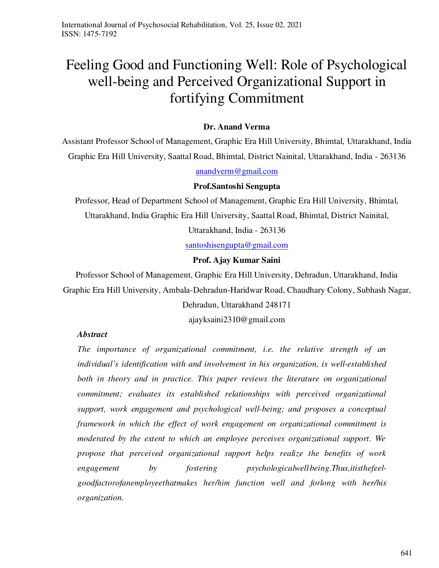# Feeling Good and Functioning Well: Role of Psychological well-being and Perceived Organizational Support in fortifying Commitment

# **Dr. Anand Verma**

Assistant Professor School of Management, Graphic Era Hill University, Bhimtal, Uttarakhand, India Graphic Era Hill University, Saattal Road, Bhimtal, District Nainital, Uttarakhand, India - 263136

# [anandverm@gmail.com](mailto:anandverm@gmail.com)

### **Prof.Santoshi Sengupta**

Professor, Head of Department School of Management, Graphic Era Hill University, Bhimtal, Uttarakhand, India Graphic Era Hill University, Saattal Road, Bhimtal, District Nainital,

Uttarakhand, India - 263136

[santoshisengupta@gmail.com](mailto:santoshisengupta@gmail.com)

# **Prof. Ajay Kumar Saini**

Professor School of Management, Graphic Era Hill University, Dehradun, Uttarakhand, India Graphic Era Hill University, Ambala-Dehradun-Haridwar Road, Chaudhary Colony, Subhash Nagar, Dehradun, Uttarakhand 248171

ajayksaini2310@gmail.com

# *Abstract*

*The importance of organizational commitment, i.e. the relative strength of an individual's identification with and involvement in his organization, is well-established*  both in theory and in practice. This paper reviews the literature on organizational *commitment; evaluates its established relationships with perceived organizational support, work engagement and psychological well‐being; and proposes a conceptual framework in which the effect of work engagement on organizational commitment is moderated by the extent to which an employee perceives organizational support. We propose that perceived organizational support helps realize the benefits of work engagement by fostering psychologicalwell‐being.Thus,itisthefeelgoodfactorofanemployeethatmakes her/him function well and forlong with her/his organization.*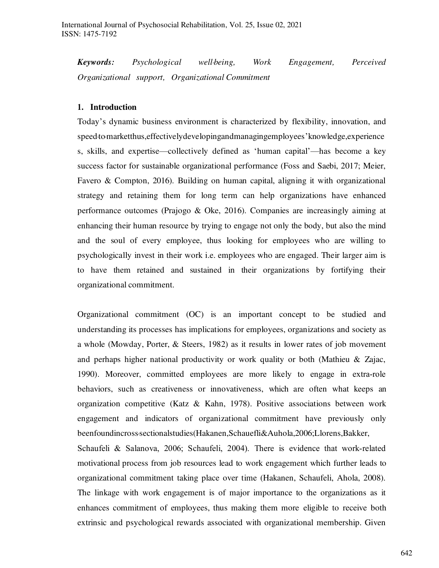*Keywords: Psychological well‐being, Work Engagement, Perceived Organizational support, Organizational Commitment* 

#### **1. Introduction**

Today's dynamic business environment is characterized by flexibility, innovation, and speed·to-marketthus, effectively developing and managing employees' knowledge, experience s, skills, and expertise—collectively defined as 'human capital'—has become a key success factor for sustainable organizational performance (Foss and Saebi, 2017; Meier, Favero & Compton, 2016). Building on human capital, aligning it with organizational strategy and retaining them for long term can help organizations have enhanced performance outcomes (Prajogo & Oke, 2016). Companies are increasingly aiming at enhancing their human resource by trying to engage not only the body, but also the mind and the soul of every employee, thus looking for employees who are willing to psychologically invest in their work i.e. employees who are engaged. Their larger aim is to have them retained and sustained in their organizations by fortifying their organizational commitment.

Organizational commitment (OC) is an important concept to be studied and understanding its processes has implications for employees, organizations and society as a whole (Mowday, Porter, & Steers, 1982) as it results in lower rates of job movement and perhaps higher national productivity or work quality or both (Mathieu & Zajac, 1990). Moreover, committed employees are more likely to engage in extra-role behaviors, such as creativeness or innovativeness, which are often what keeps an organization competitive (Katz & Kahn, 1978). Positive associations between work engagement and indicators of organizational commitment have previously only beenfoundincross‐sectionalstudies(Hakanen,Schauefli&Auhola,2006;Llorens,Bakker,

Schaufeli & Salanova, 2006; Schaufeli, 2004). There is evidence that work‐related motivational process from job resources lead to work engagement which further leads to organizational commitment taking place over time (Hakanen, Schaufeli, Ahola, 2008). The linkage with work engagement is of major importance to the organizations as it enhances commitment of employees, thus making them more eligible to receive both extrinsic and psychological rewards associated with organizational membership. Given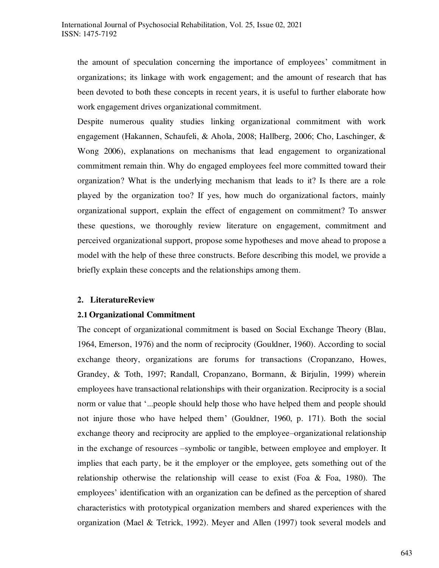the amount of speculation concerning the importance of employees' commitment in organizations; its linkage with work engagement; and the amount of research that has been devoted to both these concepts in recent years, it is useful to further elaborate how work engagement drives organizational commitment.

Despite numerous quality studies linking organizational commitment with work engagement (Hakannen, Schaufeli, & Ahola, 2008; Hallberg, 2006; Cho, Laschinger, & Wong 2006), explanations on mechanisms that lead engagement to organizational commitment remain thin. Why do engaged employees feel more committed toward their organization? What is the underlying mechanism that leads to it? Is there are a role played by the organization too? If yes, how much do organizational factors, mainly organizational support, explain the effect of engagement on commitment? To answer these questions, we thoroughly review literature on engagement, commitment and perceived organizational support, propose some hypotheses and move ahead to propose a model with the help of these three constructs. Before describing this model, we provide a briefly explain these concepts and the relationships among them.

#### **2. LiteratureReview**

#### **2.1 Organizational Commitment**

The concept of organizational commitment is based on Social Exchange Theory (Blau, 1964, Emerson, 1976) and the norm of reciprocity (Gouldner, 1960). According to social exchange theory, organizations are forums for transactions (Cropanzano, Howes, Grandey, & Toth, 1997; Randall, Cropanzano, Bormann, & Birjulin, 1999) wherein employees have transactional relationships with their organization. Reciprocity is a social norm or value that '...people should help those who have helped them and people should not injure those who have helped them' (Gouldner, 1960, p. 171). Both the social exchange theory and reciprocity are applied to the employee–organizational relationship in the exchange of resources –symbolic or tangible, between employee and employer. It implies that each party, be it the employer or the employee, gets something out of the relationship otherwise the relationship will cease to exist (Foa & Foa, 1980). The employees' identification with an organization can be defined as the perception of shared characteristics with prototypical organization members and shared experiences with the organization (Mael & Tetrick, 1992). Meyer and Allen (1997) took several models and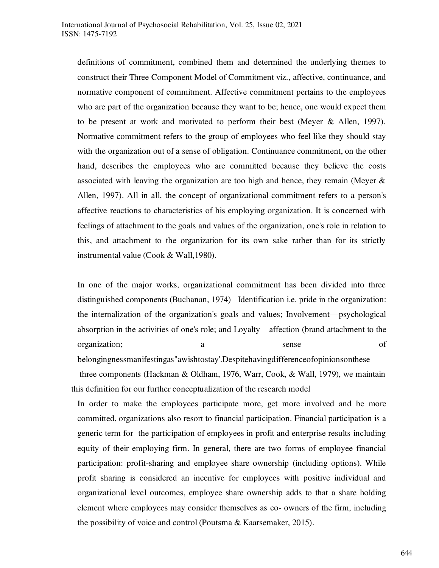definitions of commitment, combined them and determined the underlying themes to construct their Three Component Model of Commitment viz., affective, continuance, and normative component of commitment. Affective commitment pertains to the employees who are part of the organization because they want to be; hence, one would expect them to be present at work and motivated to perform their best (Meyer & Allen, 1997). Normative commitment refers to the group of employees who feel like they should stay with the organization out of a sense of obligation. Continuance commitment, on the other hand, describes the employees who are committed because they believe the costs associated with leaving the organization are too high and hence, they remain (Meyer  $\&$ Allen, 1997). All in all, the concept of organizational commitment refers to a person's affective reactions to characteristics of his employing organization. It is concerned with feelings of attachment to the goals and values of the organization, one's role in relation to this, and attachment to the organization for its own sake rather than for its strictly instrumental value (Cook & Wall,1980).

In one of the major works, organizational commitment has been divided into three distinguished components (Buchanan, 1974) –Identification i.e. pride in the organization: the internalization of the organization's goals and values; Involvement—psychological absorption in the activities of one's role; and Loyalty—affection (brand attachment to the organization; a sense of belongingnessmanifestingas"awishtostay'.Despitehavingdifferenceofopinionsonthese

 three components (Hackman & Oldham, 1976, Warr, Cook, & Wall, 1979), we maintain this definition for our further conceptualization of the research model

In order to make the employees participate more, get more involved and be more committed, organizations also resort to financial participation. Financial participation is a generic term for the participation of employees in profit and enterprise results including equity of their employing firm. In general, there are two forms of employee financial participation: profit-sharing and employee share ownership (including options). While profit sharing is considered an incentive for employees with positive individual and organizational level outcomes, employee share ownership adds to that a share holding element where employees may consider themselves as co- owners of the firm, including the possibility of voice and control (Poutsma & Kaarsemaker, 2015).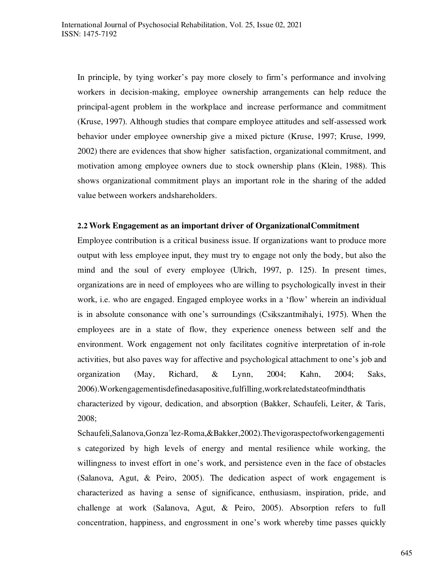In principle, by tying worker's pay more closely to firm's performance and involving workers in decision-making, employee ownership arrangements can help reduce the principal-agent problem in the workplace and increase performance and commitment (Kruse, 1997). Although studies that compare employee attitudes and self-assessed work behavior under employee ownership give a mixed picture (Kruse, 1997; Kruse, 1999, 2002) there are evidences that show higher satisfaction, organizational commitment, and motivation among employee owners due to stock ownership plans (Klein, 1988). This shows organizational commitment plays an important role in the sharing of the added value between workers andshareholders.

#### **2.2 Work Engagement as an important driver of OrganizationalCommitment**

Employee contribution is a critical business issue. If organizations want to produce more output with less employee input, they must try to engage not only the body, but also the mind and the soul of every employee (Ulrich, 1997, p. 125). In present times, organizations are in need of employees who are willing to psychologically invest in their work, i.e. who are engaged. Engaged employee works in a 'flow' wherein an individual is in absolute consonance with one's surroundings (Csikszantmihalyi, 1975). When the employees are in a state of flow, they experience oneness between self and the environment. Work engagement not only facilitates cognitive interpretation of in‐role activities, but also paves way for affective and psychological attachment to one's job and organization (May, Richard, & Lynn, 2004; Kahn, 2004; Saks, 2006). Workengagementisdefinedasapositive, fulfilling, work related state of mind that is characterized by vigour, dedication, and absorption (Bakker, Schaufeli, Leiter, & Taris, 2008;

Schaufeli,Salanova,Gonza´lez‐Roma,&Bakker,2002).Thevigoraspectofworkengagementi s categorized by high levels of energy and mental resilience while working, the willingness to invest effort in one's work, and persistence even in the face of obstacles (Salanova, Agut, & Peiro, 2005). The dedication aspect of work engagement is characterized as having a sense of significance, enthusiasm, inspiration, pride, and challenge at work (Salanova, Agut, & Peiro, 2005). Absorption refers to full concentration, happiness, and engrossment in one's work whereby time passes quickly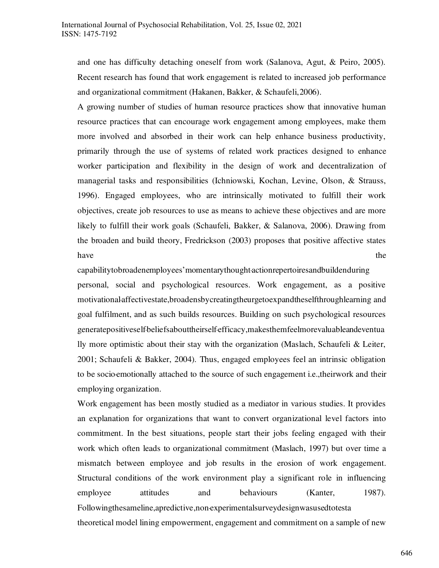and one has difficulty detaching oneself from work (Salanova, Agut, & Peiro, 2005). Recent research has found that work engagement is related to increased job performance and organizational commitment (Hakanen, Bakker, & Schaufeli,2006).

A growing number of studies of human resource practices show that innovative human resource practices that can encourage work engagement among employees, make them more involved and absorbed in their work can help enhance business productivity, primarily through the use of systems of related work practices designed to enhance worker participation and flexibility in the design of work and decentralization of managerial tasks and responsibilities (Ichniowski, Kochan, Levine, Olson, & Strauss, 1996). Engaged employees, who are intrinsically motivated to fulfill their work objectives, create job resources to use as means to achieve these objectives and are more likely to fulfill their work goals (Schaufeli, Bakker, & Salanova, 2006). Drawing from the broaden and build theory, Fredrickson (2003) proposes that positive affective states have the state of the state of the state of the state of the state of the state of the state of the state of the state of the state of the state of the state of the state of the state of the state of the state of the state

capabilitytobroadenemployees'momentarythought‐actionrepertoiresandbuildenduring personal, social and psychological resources. Work engagement, as a positive motivational-affectivestate,broadensbycreatingtheurgetoexpandtheselfthroughlearning and goal fulfilment, and as such builds resources. Building on such psychological resources generatepositiveself‐beliefsabouttheirself‐efficacy,makesthemfeelmorevaluableandeventua lly more optimistic about their stay with the organization (Maslach, Schaufeli & Leiter, 2001; Schaufeli & Bakker, 2004). Thus, engaged employees feel an intrinsic obligation to be socio-emotionally attached to the source of such engagement i.e., theirwork and their employing organization.

Work engagement has been mostly studied as a mediator in various studies. It provides an explanation for organizations that want to convert organizational level factors into commitment. In the best situations, people start their jobs feeling engaged with their work which often leads to organizational commitment (Maslach, 1997) but over time a mismatch between employee and job results in the erosion of work engagement. Structural conditions of the work environment play a significant role in influencing employee attitudes and behaviours (Kanter, 1987). Followingthesameline,apredictive,non‐experimentalsurveydesignwasusedtotesta theoretical model lining empowerment, engagement and commitment on a sample of new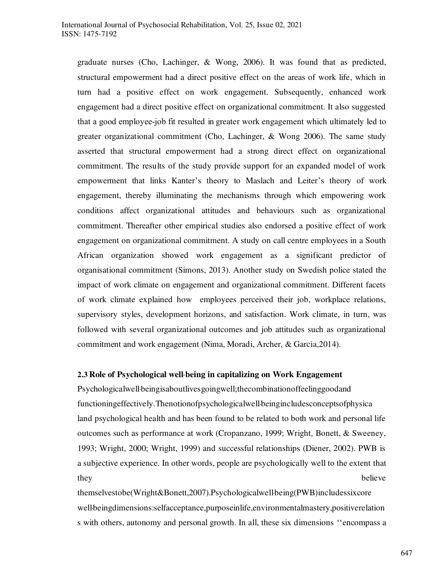graduate nurses (Cho, Lachinger, & Wong, 2006). It was found that as predicted, structural empowerment had a direct positive effect on the areas of work life, which in turn had a positive effect on work engagement. Subsequently, enhanced work engagement had a direct positive effect on organizational commitment. It also suggested that a good employee‐job fit resulted in greater work engagement which ultimately led to greater organizational commitment (Cho, Lachinger, & Wong 2006). The same study asserted that structural empowerment had a strong direct effect on organizational commitment. The results of the study provide support for an expanded model of work empowerment that links Kanter's theory to Maslach and Leiter's theory of work engagement, thereby illuminating the mechanisms through which empowering work conditions affect organizational attitudes and behaviours such as organizational commitment. Thereafter other empirical studies also endorsed a positive effect of work engagement on organizational commitment. A study on call centre employees in a South African organization showed work engagement as a significant predictor of organisational commitment (Simons, 2013). Another study on Swedish police stated the impact of work climate on engagement and organizational commitment. Different facets of work climate explained how employees perceived their job, workplace relations, supervisory styles, development horizons, and satisfaction. Work climate, in turn, was followed with several organizational outcomes and job attitudes such as organizational commitment and work engagement (Nima, Moradi, Archer, & Garcia,2014).

#### **2.3 Role of Psychological well‐being in capitalizing on Work Engagement**

Psychologicalwell‐beingisaboutlivesgoingwell;thecombinationoffeelinggoodand functioningeffectively.Thenotionofpsychologicalwell‐beingincludesconceptsofphysica land psychological health and has been found to be related to both work and personal life outcomes such as performance at work (Cropanzano, 1999; Wright, Bonett, & Sweeney, 1993; Wright, 2000; Wright, 1999) and successful relationships (Diener, 2002). PWB is a subjective experience. In other words, people are psychologically well to the extent that they believe

themselvestobe(Wright&Bonett,2007).Psychologicalwell-being(PWB)includessixcore well-beingdimensions:selfacceptance,purposeinlife,environmentalmastery,positiverelation s with others, autonomy and personal growth. In all, these six dimensions ''encompass a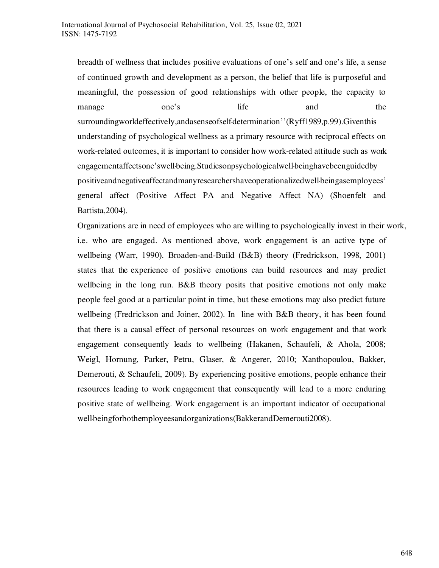breadth of wellness that includes positive evaluations of one's self and one's life, a sense of continued growth and development as a person, the belief that life is purposeful and meaningful, the possession of good relationships with other people, the capacity to manage one's life and the surroundingworldeffectively,andasenseofself-determination''(Ryff1989,p.99).Giventhis understanding of psychological wellness as a primary resource with reciprocal effects on work-related outcomes, it is important to consider how work-related attitude such as work engagementaffectsone'swell-being.Studiesonpsychologicalwell-beinghavebeenguidedby positiveandnegativeaffectandmanyresearchershaveoperationalizedwell‐beingasemployees' general affect (Positive Affect PA and Negative Affect NA) (Shoenfelt and Battista,2004).

Organizations are in need of employees who are willing to psychologically invest in their work, i.e. who are engaged. As mentioned above, work engagement is an active type of wellbeing (Warr, 1990). Broaden‐and‐Build (B&B) theory (Fredrickson, 1998, 2001) states that the experience of positive emotions can build resources and may predict wellbeing in the long run. B&B theory posits that positive emotions not only make people feel good at a particular point in time, but these emotions may also predict future wellbeing (Fredrickson and Joiner, 2002). In line with B&B theory, it has been found that there is a causal effect of personal resources on work engagement and that work engagement consequently leads to wellbeing (Hakanen, Schaufeli, & Ahola, 2008; Weigl, Hornung, Parker, Petru, Glaser, & Angerer, 2010; Xanthopoulou, Bakker, Demerouti, & Schaufeli, 2009). By experiencing positive emotions, people enhance their resources leading to work engagement that consequently will lead to a more enduring positive state of wellbeing. Work engagement is an important indicator of occupational well-beingforbothemployeesandorganizations(BakkerandDemerouti2008).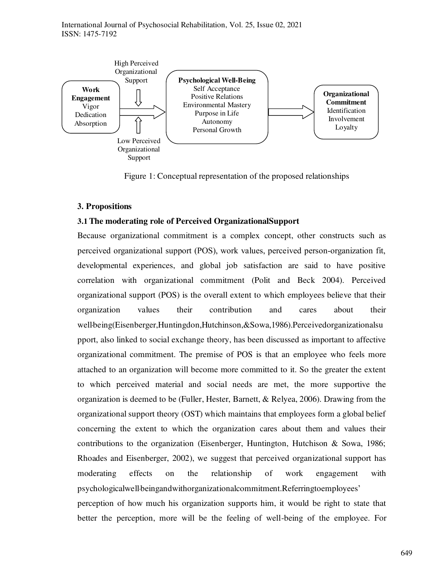International Journal of Psychosocial Rehabilitation, Vol. 25, Issue 02, 2021 ISSN: 1475-7192



Figure 1: Conceptual representation of the proposed relationships

#### **3. Propositions**

#### **3.1 The moderating role of Perceived OrganizationalSupport**

Because organizational commitment is a complex concept, other constructs such as perceived organizational support (POS), work values, perceived person‐organization fit, developmental experiences, and global job satisfaction are said to have positive correlation with organizational commitment (Polit and Beck 2004). Perceived organizational support (POS) is the overall extent to which employees believe that their organization values their contribution and cares about their wellbeing(Eisenberger,Huntingdon,Hutchinson,&Sowa,1986).Perceivedorganizationalsu pport, also linked to social exchange theory, has been discussed as important to affective organizational commitment. The premise of POS is that an employee who feels more attached to an organization will become more committed to it. So the greater the extent to which perceived material and social needs are met, the more supportive the organization is deemed to be (Fuller, Hester, Barnett, & Relyea, 2006). Drawing from the organizational support theory (OST) which maintains that employees form a global belief concerning the extent to which the organization cares about them and values their contributions to the organization (Eisenberger, Huntington, Hutchison & Sowa, 1986; Rhoades and Eisenberger, 2002), we suggest that perceived organizational support has moderating effects on the relationship of work engagement with psychologicalwell‐beingandwithorganizationalcommitment.Referringtoemployees'

perception of how much his organization supports him, it would be right to state that better the perception, more will be the feeling of well-being of the employee. For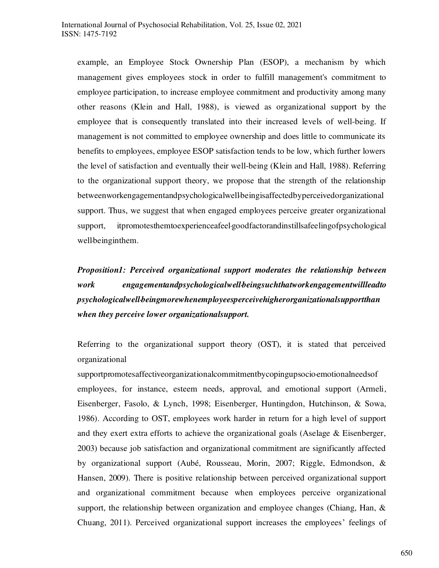example, an Employee Stock Ownership Plan (ESOP), a mechanism by which management gives employees stock in order to fulfill management's commitment to employee participation, to increase employee commitment and productivity among many other reasons (Klein and Hall, 1988), is viewed as organizational support by the employee that is consequently translated into their increased levels of well-being. If management is not committed to employee ownership and does little to communicate its benefits to employees, employee ESOP satisfaction tends to be low, which further lowers the level of satisfaction and eventually their well-being (Klein and Hall, 1988). Referring to the organizational support theory, we propose that the strength of the relationship betweenworkengagementandpsychologicalwell-beingisaffectedbyperceivedorganizational support. Thus, we suggest that when engaged employees perceive greater organizational support, itpromotesthemtoexperienceafeel‐goodfactorandinstillsafeelingofpsychological well-beinginthem.

*Proposition1: Perceived organizational support moderates the relationship between work engagementandpsychologicalwell‐beingsuchthatworkengagementwillleadto psychologicalwell‐beingmorewhenemployeesperceivehigherorganizationalsupportthan when they perceive lower organizationalsupport.* 

Referring to the organizational support theory (OST), it is stated that perceived organizational

supportpromotesaffectiveorganizationalcommitmentbycopingupsocio emotionalneedsof employees, for instance, esteem needs, approval, and emotional support (Armeli, Eisenberger, Fasolo, & Lynch, 1998; Eisenberger, Huntingdon, Hutchinson, & Sowa, 1986). According to OST, employees work harder in return for a high level of support and they exert extra efforts to achieve the organizational goals (Aselage & Eisenberger, 2003) because job satisfaction and organizational commitment are significantly affected by organizational support (Aubé, Rousseau, Morin, 2007; Riggle, Edmondson, & Hansen, 2009). There is positive relationship between perceived organizational support and organizational commitment because when employees perceive organizational support, the relationship between organization and employee changes (Chiang, Han,  $\&$ Chuang, 2011). Perceived organizational support increases the employees' feelings of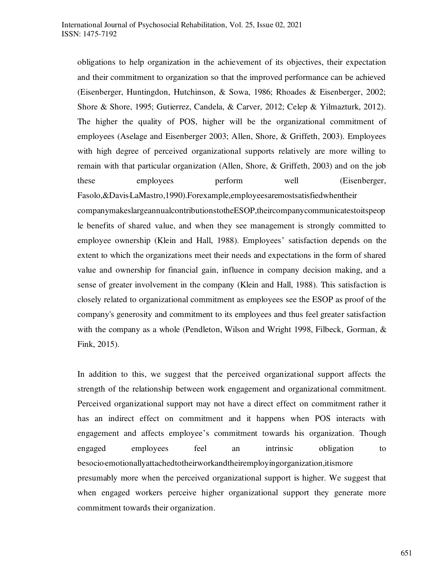obligations to help organization in the achievement of its objectives, their expectation and their commitment to organization so that the improved performance can be achieved (Eisenberger, Huntingdon, Hutchinson, & Sowa, 1986; Rhoades & Eisenberger, 2002; Shore & Shore, 1995; Gutierrez, Candela, & Carver, 2012; Celep & Yilmazturk, 2012). The higher the quality of POS, higher will be the organizational commitment of employees (Aselage and Eisenberger 2003; Allen, Shore, & Griffeth, 2003). Employees with high degree of perceived organizational supports relatively are more willing to remain with that particular organization (Allen, Shore, & Griffeth, 2003) and on the job these employees perform well (Eisenberger, Fasolo, &Davis-LaMastro, 1990). Forexample, employees are most satisfied when their companymakeslargeannualcontributionstotheESOP,theircompanycommunicatestoitspeop le benefits of shared value, and when they see management is strongly committed to employee ownership (Klein and Hall, 1988). Employees' satisfaction depends on the extent to which the organizations meet their needs and expectations in the form of shared value and ownership for financial gain, influence in company decision making, and a sense of greater involvement in the company (Klein and Hall, 1988). This satisfaction is closely related to organizational commitment as employees see the ESOP as proof of the company's generosity and commitment to its employees and thus feel greater satisfaction with the company as a whole (Pendleton, Wilson and Wright 1998, Filbeck, Gorman,  $\&$ 

Fink, 2015).

In addition to this, we suggest that the perceived organizational support affects the strength of the relationship between work engagement and organizational commitment. Perceived organizational support may not have a direct effect on commitment rather it has an indirect effect on commitment and it happens when POS interacts with engagement and affects employee's commitment towards his organization. Though engaged employees feel an intrinsic obligation to besocio·emotionallyattachedtotheirworkandtheiremployingorganization,itismore presumably more when the perceived organizational support is higher. We suggest that when engaged workers perceive higher organizational support they generate more commitment towards their organization.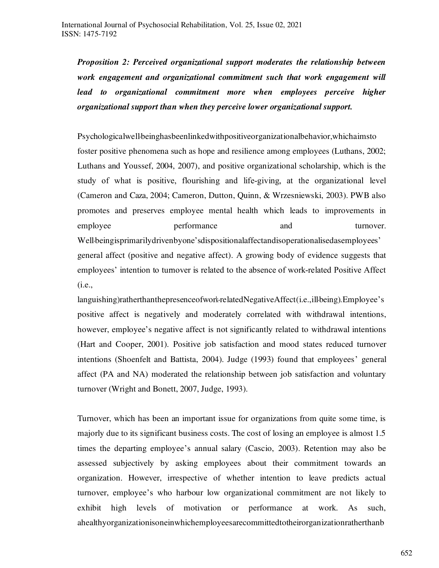*Proposition 2: Perceived organizational support moderates the relationship between work engagement and organizational commitment such that work engagement will*  lead to organizational commitment more when employees perceive higher *organizational support than when they perceive lower organizational support.* 

Psychologicalwellbeinghasbeenlinkedwithpositiveorganizationalbehavior, whichaimsto foster positive phenomena such as hope and resilience among employees (Luthans, 2002; Luthans and Youssef, 2004, 2007), and positive organizational scholarship, which is the study of what is positive, flourishing and life‐giving, at the organizational level (Cameron and Caza, 2004; Cameron, Dutton, Quinn, & Wrzesniewski, 2003). PWB also promotes and preserves employee mental health which leads to improvements in employee **performance** and turnover. Well-beingisprimarilydrivenbyone's dispositional affectand isoperational ised as employees'

general affect (positive and negative affect). A growing body of evidence suggests that employees' intention to turnover is related to the absence of work‐related Positive Affect (i.e.,

languishing)ratherthanthepresenceofwork-relatedNegativeAffect(i.e.,ill-being).Employee's positive affect is negatively and moderately correlated with withdrawal intentions, however, employee's negative affect is not significantly related to withdrawal intentions (Hart and Cooper, 2001). Positive job satisfaction and mood states reduced turnover intentions (Shoenfelt and Battista, 2004). Judge (1993) found that employees' general affect (PA and NA) moderated the relationship between job satisfaction and voluntary turnover (Wright and Bonett, 2007, Judge, 1993).

Turnover, which has been an important issue for organizations from quite some time, is majorly due to its significant business costs. The cost of losing an employee is almost 1.5 times the departing employee's annual salary (Cascio, 2003). Retention may also be assessed subjectively by asking employees about their commitment towards an organization. However, irrespective of whether intention to leave predicts actual turnover, employee's who harbour low organizational commitment are not likely to exhibit high levels of motivation or performance at work. As such, ahealthyorganizationisoneinwhichemployeesarecommittedtotheirorganizationratherthanb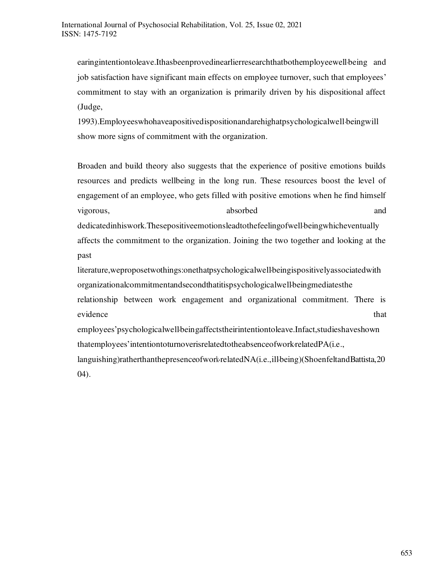earingintentiontoleave.Ithasbeenprovedinearlierresearchthatbothemployeewell‐being and job satisfaction have significant main effects on employee turnover, such that employees' commitment to stay with an organization is primarily driven by his dispositional affect (Judge,

1993).Employeeswhohaveapositivedispositionandarehighatpsychologicalwell‐beingwill show more signs of commitment with the organization.

Broaden and build theory also suggests that the experience of positive emotions builds resources and predicts wellbeing in the long run. These resources boost the level of engagement of an employee, who gets filled with positive emotions when he find himself vigorous, absorbed and dedicatedinhiswork.Thesepositiveemotionsleadtothefeelingofwell‐beingwhicheventually affects the commitment to the organization. Joining the two together and looking at the past

literature, weproposet wothings: one that psychological well being ispositively associated with organizationalcommitmentandsecondthatitispsychologicalwell‐beingmediatesthe relationship between work engagement and organizational commitment. There is evidence that that  $\mathbf{R}$  that  $\mathbf{R}$ 

employees'psychologicalwell-beingaffectstheirintentiontoleave.Infact,studieshaveshown thatemployees'intentiontoturnoverisrelatedtotheabsenceofwork‐relatedPA(i.e.,

languishing)ratherthanthepresenceofwork-relatedNA(i.e.,ill-being)(ShoenfeltandBattista,20 04).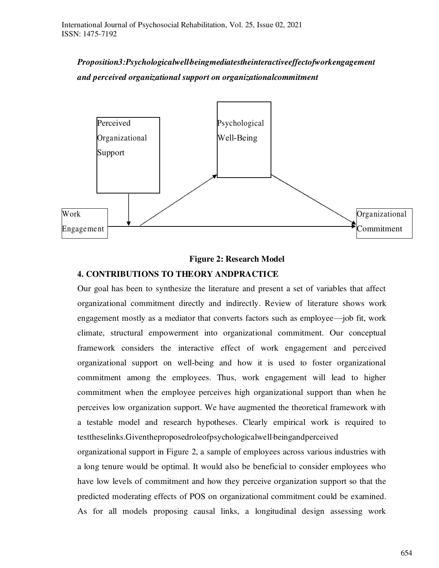*Proposition3:Psychologicalwell‐beingmediatestheinteractiveeffectofworkengagement and perceived organizational support on organizationalcommitment* 



#### **Figure 2: Research Model**

# **4. CONTRIBUTIONS TO THEORY ANDPRACTICE**

Our goal has been to synthesize the literature and present a set of variables that affect organizational commitment directly and indirectly. Review of literature shows work engagement mostly as a mediator that converts factors such as employee—job fit, work climate, structural empowerment into organizational commitment. Our conceptual framework considers the interactive effect of work engagement and perceived organizational support on well-being and how it is used to foster organizational commitment among the employees. Thus, work engagement will lead to higher commitment when the employee perceives high organizational support than when he perceives low organization support. We have augmented the theoretical framework with a testable model and research hypotheses. Clearly empirical work is required to testtheselinks.Giventheproposedroleofpsychologicalwell‐beingandperceived

organizational support in Figure 2, a sample of employees across various industries with a long tenure would be optimal. It would also be beneficial to consider employees who have low levels of commitment and how they perceive organization support so that the predicted moderating effects of POS on organizational commitment could be examined. As for all models proposing causal links, a longitudinal design assessing work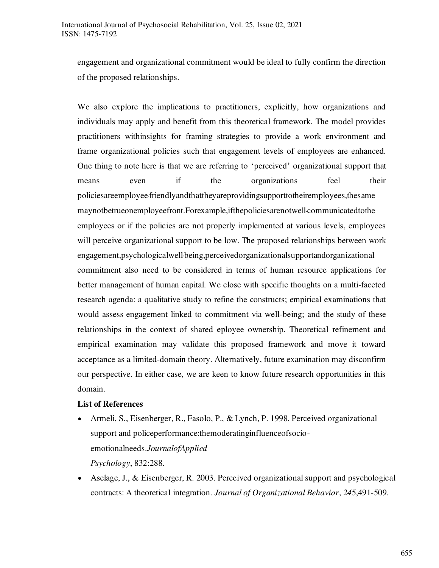engagement and organizational commitment would be ideal to fully confirm the direction of the proposed relationships.

We also explore the implications to practitioners, explicitly, how organizations and individuals may apply and benefit from this theoretical framework. The model provides practitioners withinsights for framing strategies to provide a work environment and frame organizational policies such that engagement levels of employees are enhanced. One thing to note here is that we are referring to 'perceived' organizational support that means even if the organizations feel their policiesareemployee‐friendlyandthattheyareprovidingsupporttotheiremployees,thesame maynotbetrueonemployeefront.Forexample,ifthepoliciesarenotwell communicatedtothe employees or if the policies are not properly implemented at various levels, employees will perceive organizational support to be low. The proposed relationships between work engagement, psychological well-being, perceived organizationals upportandorganizational commitment also need to be considered in terms of human resource applications for better management of human capital. We close with specific thoughts on a multi-faceted research agenda: a qualitative study to refine the constructs; empirical examinations that would assess engagement linked to commitment via well-being; and the study of these relationships in the context of shared eployee ownership. Theoretical refinement and empirical examination may validate this proposed framework and move it toward acceptance as a limited-domain theory. Alternatively, future examination may disconfirm our perspective. In either case, we are keen to know future research opportunities in this domain.

#### **List of References**

- Armeli, S., Eisenberger, R., Fasolo, P., & Lynch, P. 1998. Perceived organizational support and policeperformance:themoderatinginfluenceofsocioemotionalneeds.*JournalofApplied Psychology*, 832:288.
- Aselage, J., & Eisenberger, R. 2003. Perceived organizational support and psychological contracts: A theoretical integration. *Journal of Organizational Behavior*, *24*5,491-509.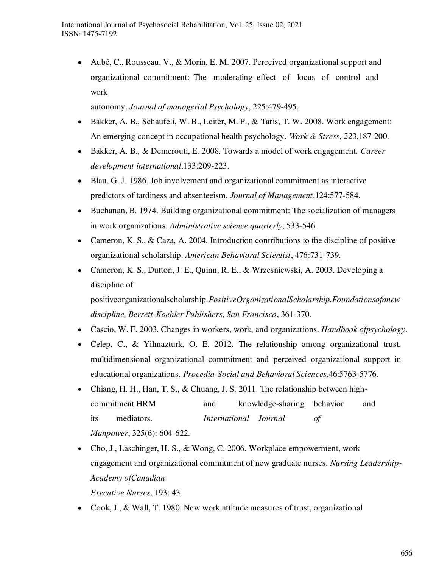Aubé, C., Rousseau, V., & Morin, E. M. 2007. Perceived organizational support and organizational commitment: The moderating effect of locus of control and work

autonomy. *Journal of managerial Psychology*, 225:479-495.

- Bakker, A. B., Schaufeli, W. B., Leiter, M. P., & Taris, T. W. 2008. Work engagement: An emerging concept in occupational health psychology. *Work & Stress*, *22*3,187-200.
- Bakker, A. B., & Demerouti, E. 2008. Towards a model of work engagement. *Career development international*,133:209-223.
- Blau, G. J. 1986. Job involvement and organizational commitment as interactive predictors of tardiness and absenteeism. *Journal of Management*,124:577-584.
- Buchanan, B. 1974. Building organizational commitment: The socialization of managers in work organizations. *Administrative science quarterly*, 533-546.
- Cameron, K. S., & Caza, A. 2004. Introduction contributions to the discipline of positive organizational scholarship. *American Behavioral Scientist*, 476:731-739.
- Cameron, K. S., Dutton, J. E., Quinn, R. E., & Wrzesniewski, A. 2003. Developing a discipline of positiveorganizationalscholarship.*PositiveOrganizationalScholarship.Foundationsofanew discipline, Berrett-Koehler Publishers, San Francisco*, 361-370.
- Cascio, W. F. 2003. Changes in workers, work, and organizations. *Handbook ofpsychology*.
- Celep, C., & Yilmazturk, O. E. 2012. The relationship among organizational trust, multidimensional organizational commitment and perceived organizational support in educational organizations. *Procedia-Social and Behavioral Sciences*,46:5763-5776.
- Chiang, H. H., Han, T. S., & Chuang, J. S. 2011. The relationship between highcommitment HRM and knowledge-sharing behavior and its mediators. *International Journal of Manpower*, 325(6): 604-622.
- Cho, J., Laschinger, H. S., & Wong, C. 2006. Workplace empowerment, work engagement and organizational commitment of new graduate nurses. *Nursing Leadership-Academy ofCanadian*

*Executive Nurses*, 193: 43.

Cook, J., & Wall, T. 1980. New work attitude measures of trust, organizational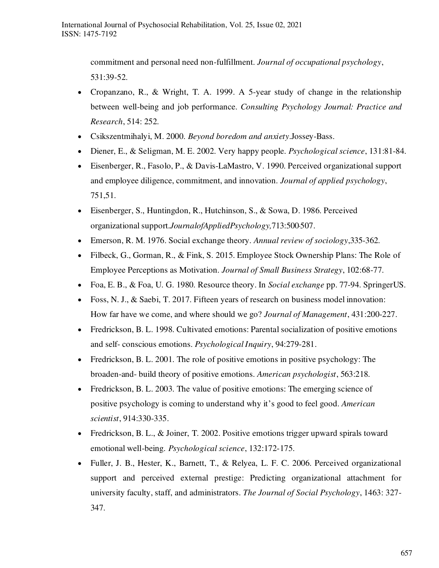commitment and personal need non-fulfillment. *Journal of occupational psychology*, 531:39-52.

- Cropanzano, R., & Wright, T. A. 1999. A 5-year study of change in the relationship between well-being and job performance. *Consulting Psychology Journal: Practice and Research*, 514: 252.
- Csikszentmihalyi, M. 2000. *Beyond boredom and anxiety*.Jossey-Bass.
- Diener, E., & Seligman, M. E. 2002. Very happy people. *Psychological science*, 131:81-84.
- Eisenberger, R., Fasolo, P., & Davis-LaMastro, V. 1990. Perceived organizational support and employee diligence, commitment, and innovation. *Journal of applied psychology*, 751,51.
- Eisenberger, S., Huntingdon, R., Hutchinson, S., & Sowa, D. 1986. Perceived organizational support.*JournalofAppliedPsychology,*713:500‐507.
- Emerson, R. M. 1976. Social exchange theory. *Annual review of sociology*,335-362.
- Filbeck, G., Gorman, R., & Fink, S. 2015. Employee Stock Ownership Plans: The Role of Employee Perceptions as Motivation. *Journal of Small Business Strategy*, 102:68-77.
- Foa, E. B., & Foa, U. G. 1980. Resource theory. In *Social exchange* pp. 77-94. SpringerUS.
- Foss, N. J., & Saebi, T. 2017. Fifteen years of research on business model innovation: How far have we come, and where should we go? *Journal of Management*, 431:200-227.
- Fredrickson, B. L. 1998. Cultivated emotions: Parental socialization of positive emotions and self- conscious emotions. *Psychological Inquiry*, 94:279-281.
- Fredrickson, B. L. 2001. The role of positive emotions in positive psychology: The broaden-and- build theory of positive emotions. *American psychologist*, 563:218.
- Fredrickson, B. L. 2003. The value of positive emotions: The emerging science of positive psychology is coming to understand why it's good to feel good. *American scientist*, 914:330-335.
- Fredrickson, B. L., & Joiner, T. 2002. Positive emotions trigger upward spirals toward emotional well-being. *Psychological science*, 132:172-175.
- Fuller, J. B., Hester, K., Barnett, T., & Relyea, L. F. C. 2006. Perceived organizational support and perceived external prestige: Predicting organizational attachment for university faculty, staff, and administrators. *The Journal of Social Psychology*, 1463: 327- 347.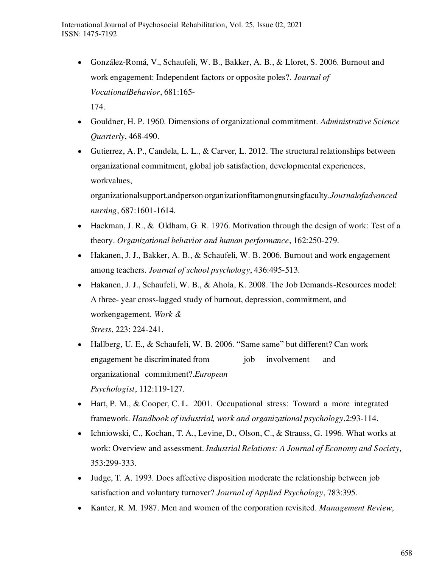- González-Romá, V., Schaufeli, W. B., Bakker, A. B., & Lloret, S. 2006. Burnout and work engagement: Independent factors or opposite poles?. *Journal of VocationalBehavior*, 681:165- 174.
- Gouldner, H. P. 1960. Dimensions of organizational commitment. *Administrative Science Quarterly*, 468-490.
- Gutierrez, A. P., Candela, L. L., & Carver, L. 2012. The structural relationships between organizational commitment, global job satisfaction, developmental experiences, workvalues,

organizationalsupport,andperson‐organizationfitamongnursingfaculty.*Journalofadvanced nursing*, 687:1601-1614.

- Hackman, J. R., & Oldham, G. R. 1976. Motivation through the design of work: Test of a theory. *Organizational behavior and human performance*, 162:250-279.
- Hakanen, J. J., Bakker, A. B., & Schaufeli, W. B. 2006. Burnout and work engagement among teachers. *Journal of school psychology*, 436:495-513.
- Hakanen, J. J., Schaufeli, W. B., & Ahola, K. 2008. The Job Demands-Resources model: A three- year cross-lagged study of burnout, depression, commitment, and workengagement. *Work &*

*Stress*, 223: 224-241.

- Hallberg, U. E., & Schaufeli, W. B. 2006. "Same same" but different? Can work engagement be discriminated from involvement and organizational commitment?.*European Psychologist*, 112:119-127.
- Hart, P. M., & Cooper, C. L. 2001. Occupational stress: Toward a more integrated framework. *Handbook of industrial, work and organizational psychology*,2:93-114.
- Ichniowski, C., Kochan, T. A., Levine, D., Olson, C., & Strauss, G. 1996. What works at work: Overview and assessment. *Industrial Relations: A Journal of Economy and Society*, 353:299-333.
- Judge, T. A. 1993. Does affective disposition moderate the relationship between job satisfaction and voluntary turnover? *Journal of Applied Psychology*, 783:395.
- Kanter, R. M. 1987. Men and women of the corporation revisited. *Management Review*,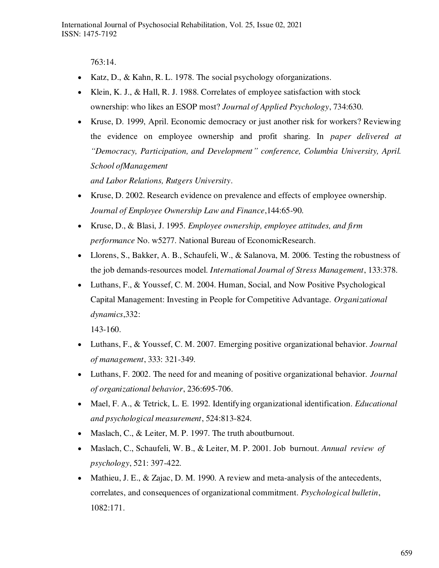763:14.

- Katz, D., & Kahn, R. L. 1978. The social psychology of organizations.
- Klein, K. J., & Hall, R. J. 1988. Correlates of employee satisfaction with stock ownership: who likes an ESOP most? *Journal of Applied Psychology*, 734:630.
- Kruse, D. 1999, April. Economic democracy or just another risk for workers? Reviewing the evidence on employee ownership and profit sharing. In *paper delivered at "Democracy, Participation, and Development" conference, Columbia University, April. School ofManagement*

*and Labor Relations, Rutgers University*.

- Kruse, D. 2002. Research evidence on prevalence and effects of employee ownership. *Journal of Employee Ownership Law and Finance*,144:65-90.
- Kruse, D., & Blasi, J. 1995. *Employee ownership, employee attitudes, and firm performance* No. w5277. National Bureau of EconomicResearch.
- Llorens, S., Bakker, A. B., Schaufeli, W., & Salanova, M. 2006. Testing the robustness of the job demands-resources model. *International Journal of Stress Management*, 133:378.
- Luthans, F., & Youssef, C. M. 2004. Human, Social, and Now Positive Psychological Capital Management: Investing in People for Competitive Advantage. *Organizational dynamics*,332:

143-160.

- Luthans, F., & Youssef, C. M. 2007. Emerging positive organizational behavior. *Journal of management*, 333: 321-349.
- Luthans, F. 2002. The need for and meaning of positive organizational behavior. *Journal of organizational behavior*, 236:695-706.
- Mael, F. A., & Tetrick, L. E. 1992. Identifying organizational identification. *Educational and psychological measurement*, 524:813-824.
- Maslach, C., & Leiter, M. P. 1997. The truth aboutburnout.
- Maslach, C., Schaufeli, W. B., & Leiter, M. P. 2001. Job burnout. *Annual review of psychology*, 521: 397-422.
- Mathieu, J. E., & Zajac, D. M. 1990. A review and meta-analysis of the antecedents, correlates, and consequences of organizational commitment. *Psychological bulletin*, 1082:171.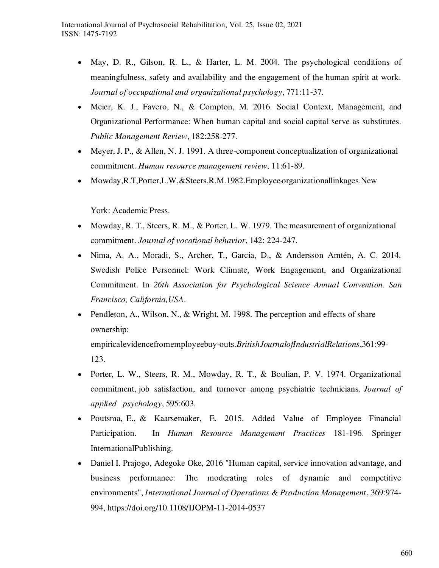- May, D. R., Gilson, R. L., & Harter, L. M. 2004. The psychological conditions of meaningfulness, safety and availability and the engagement of the human spirit at work. *Journal of occupational and organizational psychology*, 771:11-37.
- Meier, K. J., Favero, N., & Compton, M. 2016. Social Context, Management, and Organizational Performance: When human capital and social capital serve as substitutes. *Public Management Review*, 182:258-277.
- Meyer, J. P., & Allen, N. J. 1991. A three-component conceptualization of organizational commitment. *Human resource management review*, 11:61-89.
- Mowday, R.T, Porter, L.W, & Steers, R.M.1982. Employee organizational linkages. New

York: Academic Press.

- Mowday, R. T., Steers, R. M., & Porter, L. W. 1979. The measurement of organizational commitment. *Journal of vocational behavior*, 142: 224-247.
- Nima, A. A., Moradi, S., Archer, T., Garcia, D., & Andersson Arntén, A. C. 2014. Swedish Police Personnel: Work Climate, Work Engagement, and Organizational Commitment. In *26th Association for Psychological Science Annual Convention. San Francisco, California,USA*.
- Pendleton, A., Wilson, N., & Wright, M. 1998. The perception and effects of share ownership: empiricalevidencefromemployeebuy‐outs.*BritishJournalofIndustrialRelations*,361:99- 123.
- Porter, L. W., Steers, R. M., Mowday, R. T., & Boulian, P. V. 1974. Organizational commitment, job satisfaction, and turnover among psychiatric technicians. *Journal of applied psychology*, 595:603.
- Poutsma, E., & Kaarsemaker, E. 2015. Added Value of Employee Financial Participation. In *Human Resource Management Practices* 181-196. Springer InternationalPublishing.
- Daniel I. Prajogo, Adegoke Oke, 2016 "Human capital, service innovation advantage, and business performance: The moderating roles of dynamic and competitive environments", *International Journal of Operations & Production Management*, 369:974- 994, https://doi.org/10.1108/IJOPM-11-2014-0537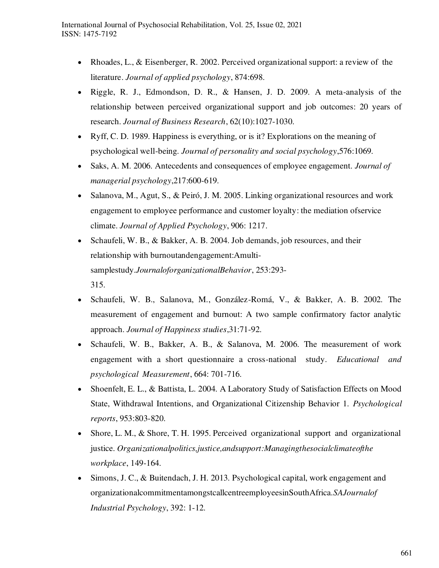- Rhoades, L., & Eisenberger, R. 2002. Perceived organizational support: a review of the literature. *Journal of applied psychology*, 874:698.
- Riggle, R. J., Edmondson, D. R., & Hansen, J. D. 2009. A meta-analysis of the relationship between perceived organizational support and job outcomes: 20 years of research. *Journal of Business Research*, 62(10):1027-1030.
- Ryff, C. D. 1989. Happiness is everything, or is it? Explorations on the meaning of psychological well-being. *Journal of personality and social psychology*,576:1069.
- Saks, A. M. 2006. Antecedents and consequences of employee engagement. *Journal of managerial psychology*,217:600-619.
- Salanova, M., Agut, S., & Peiró, J. M. 2005. Linking organizational resources and work engagement to employee performance and customer loyalty: the mediation ofservice climate. *Journal of Applied Psychology*, 906: 1217.
- Schaufeli, W. B., & Bakker, A. B. 2004. Job demands, job resources, and their relationship with burnoutandengagement:Amultisamplestudy.*JournaloforganizationalBehavior*, 253:293- 315.
- Schaufeli, W. B., Salanova, M., González-Romá, V., & Bakker, A. B. 2002. The measurement of engagement and burnout: A two sample confirmatory factor analytic approach. *Journal of Happiness studies*,31:71-92.
- Schaufeli, W. B., Bakker, A. B., & Salanova, M. 2006. The measurement of work engagement with a short questionnaire a cross-national study. *Educational and psychological Measurement*, 664: 701-716.
- Shoenfelt, E. L., & Battista, L. 2004. A Laboratory Study of Satisfaction Effects on Mood State, Withdrawal Intentions, and Organizational Citizenship Behavior 1. *Psychological reports*, 953:803-820.
- Shore, L. M., & Shore, T. H. 1995. Perceived organizational support and organizational justice. *Organizationalpolitics,justice,andsupport:Managingthesocialclimateofthe workplace*, 149-164.
- Simons, J. C., & Buitendach, J. H. 2013. Psychological capital, work engagement and organizationalcommitmentamongstcallcentreemployeesinSouthAfrica.*SAJournalof Industrial Psychology*, 392: 1-12.